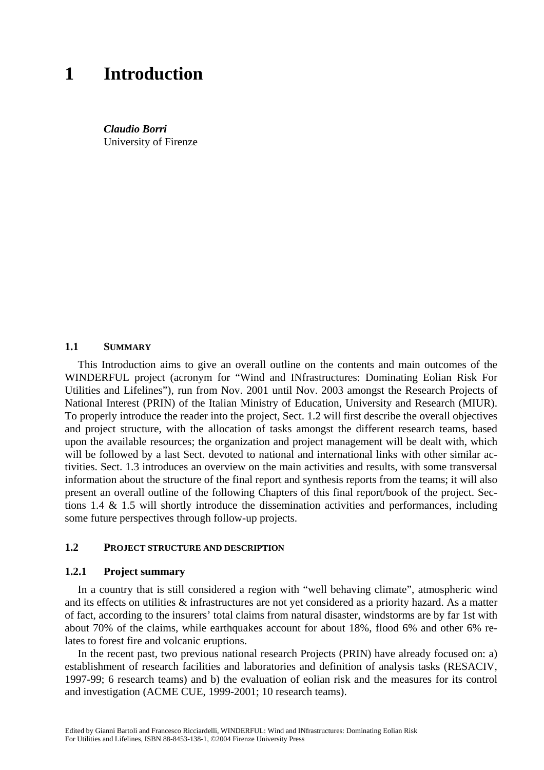# **1 Introduction**

*Claudio Borri*  University of Firenze

#### **1.1 SUMMARY**

This Introduction aims to give an overall outline on the contents and main outcomes of the WINDERFUL project (acronym for "Wind and INfrastructures: Dominating Eolian Risk For Utilities and Lifelines"), run from Nov. 2001 until Nov. 2003 amongst the Research Projects of National Interest (PRIN) of the Italian Ministry of Education, University and Research (MIUR). To properly introduce the reader into the project, Sect. 1.2 will first describe the overall objectives and project structure, with the allocation of tasks amongst the different research teams, based upon the available resources; the organization and project management will be dealt with, which will be followed by a last Sect. devoted to national and international links with other similar activities. Sect. 1.3 introduces an overview on the main activities and results, with some transversal information about the structure of the final report and synthesis reports from the teams; it will also present an overall outline of the following Chapters of this final report/book of the project. Sections 1.4 & 1.5 will shortly introduce the dissemination activities and performances, including some future perspectives through follow-up projects.

## **1.2 PROJECT STRUCTURE AND DESCRIPTION**

#### **1.2.1 Project summary**

In a country that is still considered a region with "well behaving climate", atmospheric wind and its effects on utilities & infrastructures are not yet considered as a priority hazard. As a matter of fact, according to the insurers' total claims from natural disaster, windstorms are by far 1st with about 70% of the claims, while earthquakes account for about 18%, flood 6% and other 6% relates to forest fire and volcanic eruptions.

In the recent past, two previous national research Projects (PRIN) have already focused on: a) establishment of research facilities and laboratories and definition of analysis tasks (RESACIV, 1997-99; 6 research teams) and b) the evaluation of eolian risk and the measures for its control and investigation (ACME CUE, 1999-2001; 10 research teams).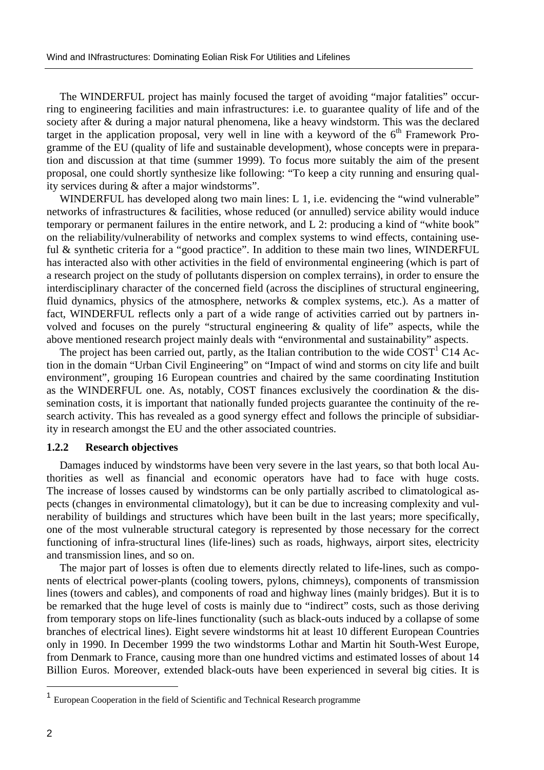The WINDERFUL project has mainly focused the target of avoiding "major fatalities" occurring to engineering facilities and main infrastructures: i.e. to guarantee quality of life and of the society after & during a major natural phenomena, like a heavy windstorm. This was the declared target in the application proposal, very well in line with a keyword of the  $6<sup>th</sup>$  Framework Programme of the EU (quality of life and sustainable development), whose concepts were in preparation and discussion at that time (summer 1999). To focus more suitably the aim of the present proposal, one could shortly synthesize like following: "To keep a city running and ensuring quality services during & after a major windstorms".

WINDERFUL has developed along two main lines: L 1, i.e. evidencing the "wind vulnerable" networks of infrastructures & facilities, whose reduced (or annulled) service ability would induce temporary or permanent failures in the entire network, and L 2: producing a kind of "white book" on the reliability/vulnerability of networks and complex systems to wind effects, containing useful & synthetic criteria for a "good practice". In addition to these main two lines, WINDERFUL has interacted also with other activities in the field of environmental engineering (which is part of a research project on the study of pollutants dispersion on complex terrains), in order to ensure the interdisciplinary character of the concerned field (across the disciplines of structural engineering, fluid dynamics, physics of the atmosphere, networks & complex systems, etc.). As a matter of fact, WINDERFUL reflects only a part of a wide range of activities carried out by partners involved and focuses on the purely "structural engineering  $\&$  quality of life" aspects, while the above mentioned research project mainly deals with "environmental and sustainability" aspects.

The project has been carried out, partly, as the Italian contribution to the wide  $\text{COST}^1\text{C}14$  Action in the domain "Urban Civil Engineering" on "Impact of wind and storms on city life and built environment", grouping 16 European countries and chaired by the same coordinating Institution as the WINDERFUL one. As, notably, COST finances exclusively the coordination & the dissemination costs, it is important that nationally funded projects guarantee the continuity of the research activity. This has revealed as a good synergy effect and follows the principle of subsidiarity in research amongst the EU and the other associated countries.

## **1.2.2 Research objectives**

Damages induced by windstorms have been very severe in the last years, so that both local Authorities as well as financial and economic operators have had to face with huge costs. The increase of losses caused by windstorms can be only partially ascribed to climatological aspects (changes in environmental climatology), but it can be due to increasing complexity and vulnerability of buildings and structures which have been built in the last years; more specifically, one of the most vulnerable structural category is represented by those necessary for the correct functioning of infra-structural lines (life-lines) such as roads, highways, airport sites, electricity and transmission lines, and so on.

 The major part of losses is often due to elements directly related to life-lines, such as components of electrical power-plants (cooling towers, pylons, chimneys), components of transmission lines (towers and cables), and components of road and highway lines (mainly bridges). But it is to be remarked that the huge level of costs is mainly due to "indirect" costs, such as those deriving from temporary stops on life-lines functionality (such as black-outs induced by a collapse of some branches of electrical lines). Eight severe windstorms hit at least 10 different European Countries only in 1990. In December 1999 the two windstorms Lothar and Martin hit South-West Europe, from Denmark to France, causing more than one hundred victims and estimated losses of about 14 Billion Euros. Moreover, extended black-outs have been experienced in several big cities. It is

 $\overline{a}$ 

<sup>&</sup>lt;sup>1</sup> European Cooperation in the field of Scientific and Technical Research programme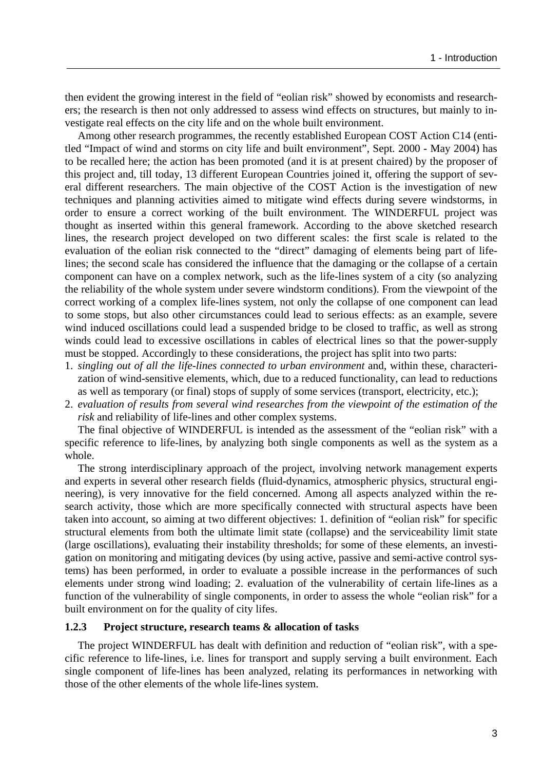then evident the growing interest in the field of "eolian risk" showed by economists and researchers; the research is then not only addressed to assess wind effects on structures, but mainly to investigate real effects on the city life and on the whole built environment.

 Among other research programmes, the recently established European COST Action C14 (entitled "Impact of wind and storms on city life and built environment", Sept. 2000 - May 2004) has to be recalled here; the action has been promoted (and it is at present chaired) by the proposer of this project and, till today, 13 different European Countries joined it, offering the support of several different researchers. The main objective of the COST Action is the investigation of new techniques and planning activities aimed to mitigate wind effects during severe windstorms, in order to ensure a correct working of the built environment. The WINDERFUL project was thought as inserted within this general framework. According to the above sketched research lines, the research project developed on two different scales: the first scale is related to the evaluation of the eolian risk connected to the "direct" damaging of elements being part of lifelines; the second scale has considered the influence that the damaging or the collapse of a certain component can have on a complex network, such as the life-lines system of a city (so analyzing the reliability of the whole system under severe windstorm conditions). From the viewpoint of the correct working of a complex life-lines system, not only the collapse of one component can lead to some stops, but also other circumstances could lead to serious effects: as an example, severe wind induced oscillations could lead a suspended bridge to be closed to traffic, as well as strong winds could lead to excessive oscillations in cables of electrical lines so that the power-supply must be stopped. Accordingly to these considerations, the project has split into two parts:

- 1. *singling out of all the life-lines connected to urban environment* and, within these, characterization of wind-sensitive elements, which, due to a reduced functionality, can lead to reductions as well as temporary (or final) stops of supply of some services (transport, electricity, etc.);
- 2. *evaluation of results from several wind researches from the viewpoint of the estimation of the risk* and reliability of life-lines and other complex systems.

The final objective of WINDERFUL is intended as the assessment of the "eolian risk" with a specific reference to life-lines, by analyzing both single components as well as the system as a whole.

The strong interdisciplinary approach of the project, involving network management experts and experts in several other research fields (fluid-dynamics, atmospheric physics, structural engineering), is very innovative for the field concerned. Among all aspects analyzed within the research activity, those which are more specifically connected with structural aspects have been taken into account, so aiming at two different objectives: 1. definition of "eolian risk" for specific structural elements from both the ultimate limit state (collapse) and the serviceability limit state (large oscillations), evaluating their instability thresholds; for some of these elements, an investigation on monitoring and mitigating devices (by using active, passive and semi-active control systems) has been performed, in order to evaluate a possible increase in the performances of such elements under strong wind loading; 2. evaluation of the vulnerability of certain life-lines as a function of the vulnerability of single components, in order to assess the whole "eolian risk" for a built environment on for the quality of city lifes.

#### **1.2.3 Project structure, research teams & allocation of tasks**

The project WINDERFUL has dealt with definition and reduction of "eolian risk", with a specific reference to life-lines, i.e. lines for transport and supply serving a built environment. Each single component of life-lines has been analyzed, relating its performances in networking with those of the other elements of the whole life-lines system.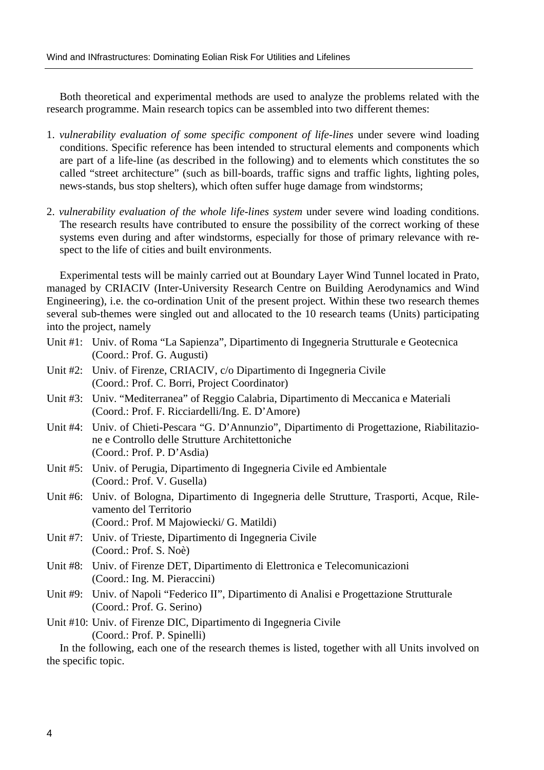Both theoretical and experimental methods are used to analyze the problems related with the research programme. Main research topics can be assembled into two different themes:

- 1. *vulnerability evaluation of some specific component of life-lines* under severe wind loading conditions. Specific reference has been intended to structural elements and components which are part of a life-line (as described in the following) and to elements which constitutes the so called "street architecture" (such as bill-boards, traffic signs and traffic lights, lighting poles, news-stands, bus stop shelters), which often suffer huge damage from windstorms;
- 2. *vulnerability evaluation of the whole life-lines system* under severe wind loading conditions. The research results have contributed to ensure the possibility of the correct working of these systems even during and after windstorms, especially for those of primary relevance with respect to the life of cities and built environments.

 Experimental tests will be mainly carried out at Boundary Layer Wind Tunnel located in Prato, managed by CRIACIV (Inter-University Research Centre on Building Aerodynamics and Wind Engineering), i.e. the co-ordination Unit of the present project. Within these two research themes several sub-themes were singled out and allocated to the 10 research teams (Units) participating into the project, namely

- Unit #1: Univ. of Roma "La Sapienza", Dipartimento di Ingegneria Strutturale e Geotecnica (Coord.: Prof. G. Augusti)
- Unit #2: Univ. of Firenze, CRIACIV, c/o Dipartimento di Ingegneria Civile (Coord.: Prof. C. Borri, Project Coordinator)
- Unit #3: Univ. "Mediterranea" of Reggio Calabria, Dipartimento di Meccanica e Materiali (Coord.: Prof. F. Ricciardelli/Ing. E. D'Amore)
- Unit #4: Univ. of Chieti-Pescara "G. D'Annunzio", Dipartimento di Progettazione, Riabilitazione e Controllo delle Strutture Architettoniche (Coord.: Prof. P. D'Asdia)
- Unit #5: Univ. of Perugia, Dipartimento di Ingegneria Civile ed Ambientale (Coord.: Prof. V. Gusella)
- Unit #6: Univ. of Bologna, Dipartimento di Ingegneria delle Strutture, Trasporti, Acque, Rilevamento del Territorio (Coord.: Prof. M Majowiecki/ G. Matildi)
- Unit #7: Univ. of Trieste, Dipartimento di Ingegneria Civile (Coord.: Prof. S. Noè)
- Unit #8: Univ. of Firenze DET, Dipartimento di Elettronica e Telecomunicazioni (Coord.: Ing. M. Pieraccini)
- Unit #9: Univ. of Napoli "Federico II", Dipartimento di Analisi e Progettazione Strutturale (Coord.: Prof. G. Serino)
- Unit #10: Univ. of Firenze DIC, Dipartimento di Ingegneria Civile (Coord.: Prof. P. Spinelli)

 In the following, each one of the research themes is listed, together with all Units involved on the specific topic.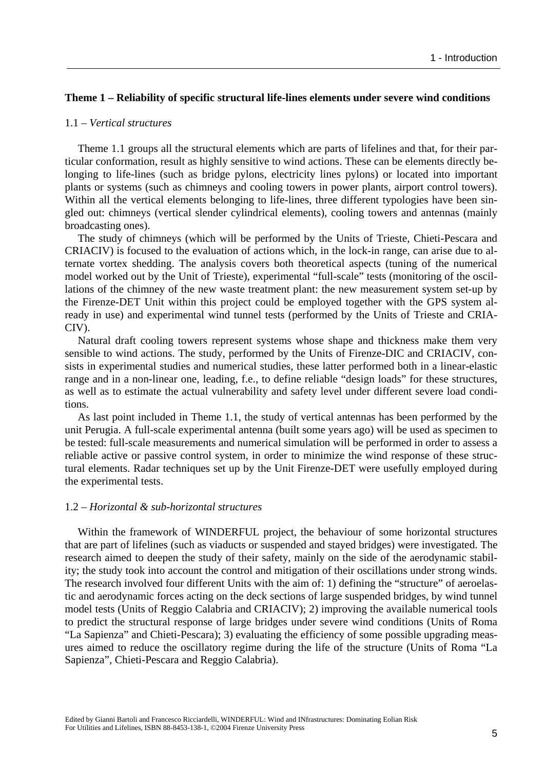## **Theme 1 – Reliability of specific structural life-lines elements under severe wind conditions**

## 1.1 – *Vertical structures*

Theme 1.1 groups all the structural elements which are parts of lifelines and that, for their particular conformation, result as highly sensitive to wind actions. These can be elements directly belonging to life-lines (such as bridge pylons, electricity lines pylons) or located into important plants or systems (such as chimneys and cooling towers in power plants, airport control towers). Within all the vertical elements belonging to life-lines, three different typologies have been singled out: chimneys (vertical slender cylindrical elements), cooling towers and antennas (mainly broadcasting ones).

The study of chimneys (which will be performed by the Units of Trieste, Chieti-Pescara and CRIACIV) is focused to the evaluation of actions which, in the lock-in range, can arise due to alternate vortex shedding. The analysis covers both theoretical aspects (tuning of the numerical model worked out by the Unit of Trieste), experimental "full-scale" tests (monitoring of the oscillations of the chimney of the new waste treatment plant: the new measurement system set-up by the Firenze-DET Unit within this project could be employed together with the GPS system already in use) and experimental wind tunnel tests (performed by the Units of Trieste and CRIA-CIV).

Natural draft cooling towers represent systems whose shape and thickness make them very sensible to wind actions. The study, performed by the Units of Firenze-DIC and CRIACIV, consists in experimental studies and numerical studies, these latter performed both in a linear-elastic range and in a non-linear one, leading, f.e., to define reliable "design loads" for these structures, as well as to estimate the actual vulnerability and safety level under different severe load conditions.

As last point included in Theme 1.1, the study of vertical antennas has been performed by the unit Perugia. A full-scale experimental antenna (built some years ago) will be used as specimen to be tested: full-scale measurements and numerical simulation will be performed in order to assess a reliable active or passive control system, in order to minimize the wind response of these structural elements. Radar techniques set up by the Unit Firenze-DET were usefully employed during the experimental tests.

#### 1.2 – *Horizontal & sub-horizontal structures*

Within the framework of WINDERFUL project, the behaviour of some horizontal structures that are part of lifelines (such as viaducts or suspended and stayed bridges) were investigated. The research aimed to deepen the study of their safety, mainly on the side of the aerodynamic stability; the study took into account the control and mitigation of their oscillations under strong winds. The research involved four different Units with the aim of: 1) defining the "structure" of aeroelastic and aerodynamic forces acting on the deck sections of large suspended bridges, by wind tunnel model tests (Units of Reggio Calabria and CRIACIV); 2) improving the available numerical tools to predict the structural response of large bridges under severe wind conditions (Units of Roma "La Sapienza" and Chieti-Pescara); 3) evaluating the efficiency of some possible upgrading measures aimed to reduce the oscillatory regime during the life of the structure (Units of Roma "La Sapienza", Chieti-Pescara and Reggio Calabria).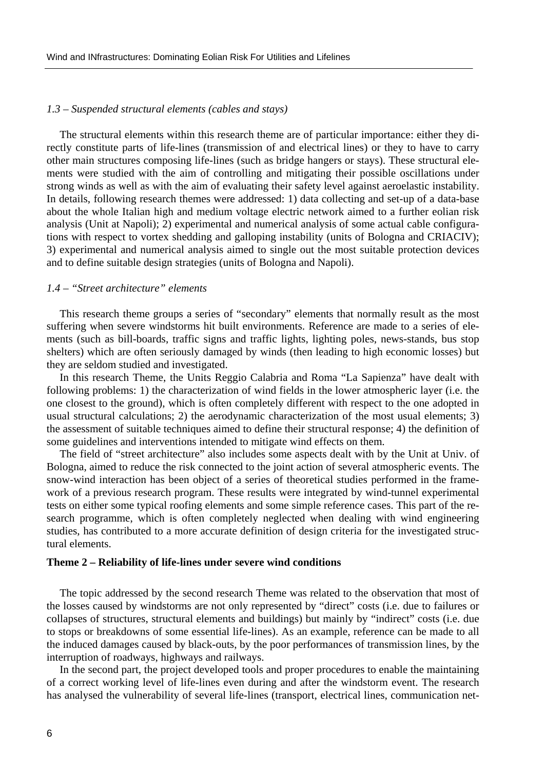#### *1.3 – Suspended structural elements (cables and stays)*

 The structural elements within this research theme are of particular importance: either they directly constitute parts of life-lines (transmission of and electrical lines) or they to have to carry other main structures composing life-lines (such as bridge hangers or stays). These structural elements were studied with the aim of controlling and mitigating their possible oscillations under strong winds as well as with the aim of evaluating their safety level against aeroelastic instability. In details, following research themes were addressed: 1) data collecting and set-up of a data-base about the whole Italian high and medium voltage electric network aimed to a further eolian risk analysis (Unit at Napoli); 2) experimental and numerical analysis of some actual cable configurations with respect to vortex shedding and galloping instability (units of Bologna and CRIACIV); 3) experimental and numerical analysis aimed to single out the most suitable protection devices and to define suitable design strategies (units of Bologna and Napoli).

#### *1.4 – "Street architecture" elements*

 This research theme groups a series of "secondary" elements that normally result as the most suffering when severe windstorms hit built environments. Reference are made to a series of elements (such as bill-boards, traffic signs and traffic lights, lighting poles, news-stands, bus stop shelters) which are often seriously damaged by winds (then leading to high economic losses) but they are seldom studied and investigated.

 In this research Theme, the Units Reggio Calabria and Roma "La Sapienza" have dealt with following problems: 1) the characterization of wind fields in the lower atmospheric layer (i.e. the one closest to the ground), which is often completely different with respect to the one adopted in usual structural calculations; 2) the aerodynamic characterization of the most usual elements; 3) the assessment of suitable techniques aimed to define their structural response; 4) the definition of some guidelines and interventions intended to mitigate wind effects on them.

 The field of "street architecture" also includes some aspects dealt with by the Unit at Univ. of Bologna, aimed to reduce the risk connected to the joint action of several atmospheric events. The snow-wind interaction has been object of a series of theoretical studies performed in the framework of a previous research program. These results were integrated by wind-tunnel experimental tests on either some typical roofing elements and some simple reference cases. This part of the research programme, which is often completely neglected when dealing with wind engineering studies, has contributed to a more accurate definition of design criteria for the investigated structural elements.

#### **Theme 2 – Reliability of life-lines under severe wind conditions**

 The topic addressed by the second research Theme was related to the observation that most of the losses caused by windstorms are not only represented by "direct" costs (i.e. due to failures or collapses of structures, structural elements and buildings) but mainly by "indirect" costs (i.e. due to stops or breakdowns of some essential life-lines). As an example, reference can be made to all the induced damages caused by black-outs, by the poor performances of transmission lines, by the interruption of roadways, highways and railways.

 In the second part, the project developed tools and proper procedures to enable the maintaining of a correct working level of life-lines even during and after the windstorm event. The research has analysed the vulnerability of several life-lines (transport, electrical lines, communication net-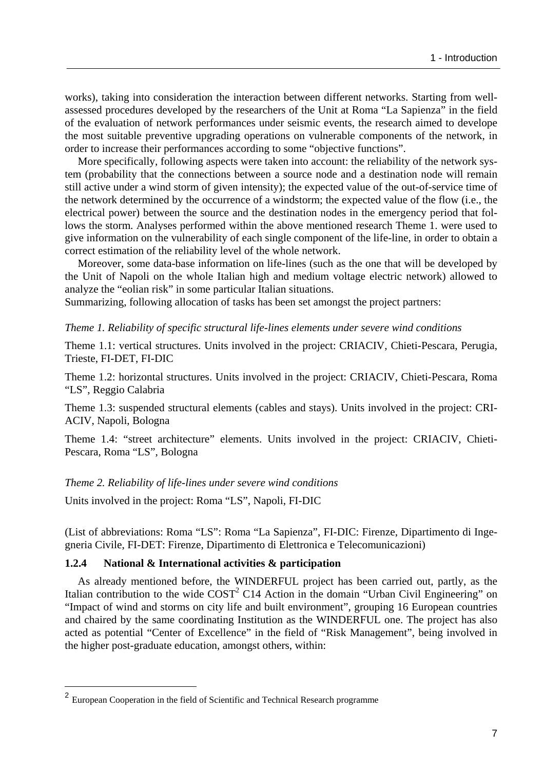works), taking into consideration the interaction between different networks. Starting from wellassessed procedures developed by the researchers of the Unit at Roma "La Sapienza" in the field of the evaluation of network performances under seismic events, the research aimed to develope the most suitable preventive upgrading operations on vulnerable components of the network, in order to increase their performances according to some "objective functions".

 More specifically, following aspects were taken into account: the reliability of the network system (probability that the connections between a source node and a destination node will remain still active under a wind storm of given intensity); the expected value of the out-of-service time of the network determined by the occurrence of a windstorm; the expected value of the flow (i.e., the electrical power) between the source and the destination nodes in the emergency period that follows the storm. Analyses performed within the above mentioned research Theme 1. were used to give information on the vulnerability of each single component of the life-line, in order to obtain a correct estimation of the reliability level of the whole network.

 Moreover, some data-base information on life-lines (such as the one that will be developed by the Unit of Napoli on the whole Italian high and medium voltage electric network) allowed to analyze the "eolian risk" in some particular Italian situations.

Summarizing, following allocation of tasks has been set amongst the project partners:

*Theme 1. Reliability of specific structural life-lines elements under severe wind conditions* 

Theme 1.1: vertical structures. Units involved in the project: CRIACIV, Chieti-Pescara, Perugia, Trieste, FI-DET, FI-DIC

Theme 1.2: horizontal structures. Units involved in the project: CRIACIV, Chieti-Pescara, Roma "LS", Reggio Calabria

Theme 1.3: suspended structural elements (cables and stays). Units involved in the project: CRI-ACIV, Napoli, Bologna

Theme 1.4: "street architecture" elements. Units involved in the project: CRIACIV, Chieti-Pescara, Roma "LS", Bologna

#### *Theme 2. Reliability of life-lines under severe wind conditions*

Units involved in the project: Roma "LS", Napoli, FI-DIC

(List of abbreviations: Roma "LS": Roma "La Sapienza", FI-DIC: Firenze, Dipartimento di Ingegneria Civile, FI-DET: Firenze, Dipartimento di Elettronica e Telecomunicazioni)

## **1.2.4 National & International activities & participation**

As already mentioned before, the WINDERFUL project has been carried out, partly, as the Italian contribution to the wide  $COST^2 C14$  Action in the domain "Urban Civil Engineering" on "Impact of wind and storms on city life and built environment", grouping 16 European countries and chaired by the same coordinating Institution as the WINDERFUL one. The project has also acted as potential "Center of Excellence" in the field of "Risk Management", being involved in the higher post-graduate education, amongst others, within:

 $\overline{a}$ 

<sup>2</sup> European Cooperation in the field of Scientific and Technical Research programme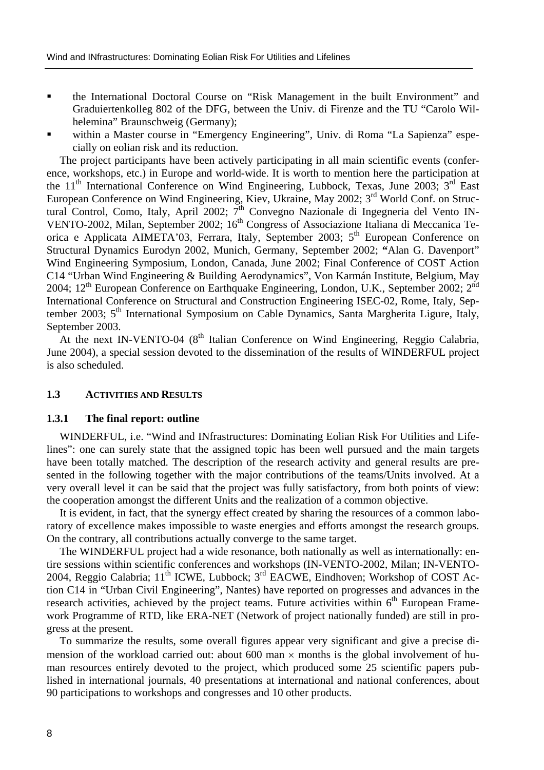- the International Doctoral Course on "Risk Management in the built Environment" and Graduiertenkolleg 802 of the DFG, between the Univ. di Firenze and the TU "Carolo Wilhelemina" Braunschweig (Germany);
- within a Master course in "Emergency Engineering", Univ. di Roma "La Sapienza" especially on eolian risk and its reduction.

The project participants have been actively participating in all main scientific events (conference, workshops, etc.) in Europe and world-wide. It is worth to mention here the participation at the 11<sup>th</sup> International Conference on Wind Engineering, Lubbock, Texas, June 2003;  $3<sup>rd</sup>$  East European Conference on Wind Engineering, Kiev, Ukraine, May 2002; 3rd World Conf. on Structural Control, Como, Italy, April 2002; 7th Convegno Nazionale di Ingegneria del Vento IN-VENTO-2002, Milan, September 2002; 16<sup>th</sup> Congress of Associazione Italiana di Meccanica Teorica e Applicata AIMETA'03, Ferrara, Italy, September 2003; 5<sup>th</sup> European Conference on Structural Dynamics Eurodyn 2002, Munich, Germany, September 2002; **"**Alan G. Davenport" Wind Engineering Symposium, London, Canada, June 2002; Final Conference of COST Action C14 "Urban Wind Engineering & Building Aerodynamics", Von Karmán Institute, Belgium, May 2004;  $12<sup>th</sup>$  European Conference on Earthquake Engineering, London, U.K., September 2002;  $2<sup>nd</sup>$ International Conference on Structural and Construction Engineering ISEC-02, Rome, Italy, September 2003; 5<sup>th</sup> International Symposium on Cable Dynamics, Santa Margherita Ligure, Italy, September 2003.

At the next IN-VENTO-04 ( $8<sup>th</sup>$  Italian Conference on Wind Engineering, Reggio Calabria, June 2004), a special session devoted to the dissemination of the results of WINDERFUL project is also scheduled.

## **1.3 ACTIVITIES AND RESULTS**

#### **1.3.1 The final report: outline**

WINDERFUL, i.e. "Wind and INfrastructures: Dominating Eolian Risk For Utilities and Lifelines": one can surely state that the assigned topic has been well pursued and the main targets have been totally matched. The description of the research activity and general results are presented in the following together with the major contributions of the teams/Units involved. At a very overall level it can be said that the project was fully satisfactory, from both points of view: the cooperation amongst the different Units and the realization of a common objective.

It is evident, in fact, that the synergy effect created by sharing the resources of a common laboratory of excellence makes impossible to waste energies and efforts amongst the research groups. On the contrary, all contributions actually converge to the same target.

The WINDERFUL project had a wide resonance, both nationally as well as internationally: entire sessions within scientific conferences and workshops (IN-VENTO-2002, Milan; IN-VENTO-2004, Reggio Calabria;  $11<sup>th</sup>$  ICWE, Lubbock;  $3<sup>rd</sup>$  EACWE, Eindhoven; Workshop of COST Action C14 in "Urban Civil Engineering", Nantes) have reported on progresses and advances in the research activities, achieved by the project teams. Future activities within  $6<sup>th</sup>$  European Framework Programme of RTD, like ERA-NET (Network of project nationally funded) are still in progress at the present.

To summarize the results, some overall figures appear very significant and give a precise dimension of the workload carried out: about 600 man  $\times$  months is the global involvement of human resources entirely devoted to the project, which produced some 25 scientific papers published in international journals, 40 presentations at international and national conferences, about 90 participations to workshops and congresses and 10 other products.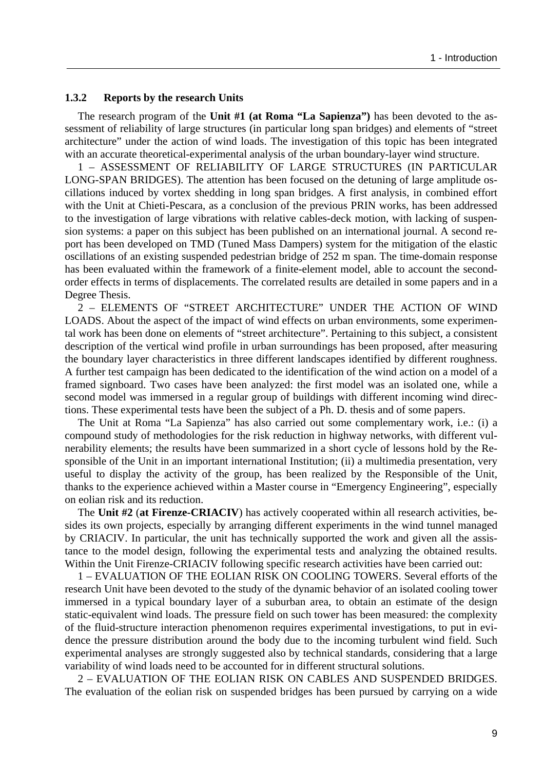#### **1.3.2 Reports by the research Units**

The research program of the **Unit #1 (at Roma "La Sapienza")** has been devoted to the assessment of reliability of large structures (in particular long span bridges) and elements of "street architecture" under the action of wind loads. The investigation of this topic has been integrated with an accurate theoretical-experimental analysis of the urban boundary-layer wind structure.

1 – ASSESSMENT OF RELIABILITY OF LARGE STRUCTURES (IN PARTICULAR LONG-SPAN BRIDGES). The attention has been focused on the detuning of large amplitude oscillations induced by vortex shedding in long span bridges. A first analysis, in combined effort with the Unit at Chieti-Pescara, as a conclusion of the previous PRIN works, has been addressed to the investigation of large vibrations with relative cables-deck motion, with lacking of suspension systems: a paper on this subject has been published on an international journal. A second report has been developed on TMD (Tuned Mass Dampers) system for the mitigation of the elastic oscillations of an existing suspended pedestrian bridge of 252 m span. The time-domain response has been evaluated within the framework of a finite-element model, able to account the secondorder effects in terms of displacements. The correlated results are detailed in some papers and in a Degree Thesis.

2 – ELEMENTS OF "STREET ARCHITECTURE" UNDER THE ACTION OF WIND LOADS. About the aspect of the impact of wind effects on urban environments, some experimental work has been done on elements of "street architecture". Pertaining to this subject, a consistent description of the vertical wind profile in urban surroundings has been proposed, after measuring the boundary layer characteristics in three different landscapes identified by different roughness. A further test campaign has been dedicated to the identification of the wind action on a model of a framed signboard. Two cases have been analyzed: the first model was an isolated one, while a second model was immersed in a regular group of buildings with different incoming wind directions. These experimental tests have been the subject of a Ph. D. thesis and of some papers.

The Unit at Roma "La Sapienza" has also carried out some complementary work, i.e.: (i) a compound study of methodologies for the risk reduction in highway networks, with different vulnerability elements; the results have been summarized in a short cycle of lessons hold by the Responsible of the Unit in an important international Institution; (ii) a multimedia presentation, very useful to display the activity of the group, has been realized by the Responsible of the Unit, thanks to the experience achieved within a Master course in "Emergency Engineering", especially on eolian risk and its reduction.

The **Unit #2** (**at Firenze-CRIACIV**) has actively cooperated within all research activities, besides its own projects, especially by arranging different experiments in the wind tunnel managed by CRIACIV. In particular, the unit has technically supported the work and given all the assistance to the model design, following the experimental tests and analyzing the obtained results. Within the Unit Firenze-CRIACIV following specific research activities have been carried out:

1 – EVALUATION OF THE EOLIAN RISK ON COOLING TOWERS. Several efforts of the research Unit have been devoted to the study of the dynamic behavior of an isolated cooling tower immersed in a typical boundary layer of a suburban area, to obtain an estimate of the design static-equivalent wind loads. The pressure field on such tower has been measured: the complexity of the fluid-structure interaction phenomenon requires experimental investigations, to put in evidence the pressure distribution around the body due to the incoming turbulent wind field. Such experimental analyses are strongly suggested also by technical standards, considering that a large variability of wind loads need to be accounted for in different structural solutions.

2 – EVALUATION OF THE EOLIAN RISK ON CABLES AND SUSPENDED BRIDGES. The evaluation of the eolian risk on suspended bridges has been pursued by carrying on a wide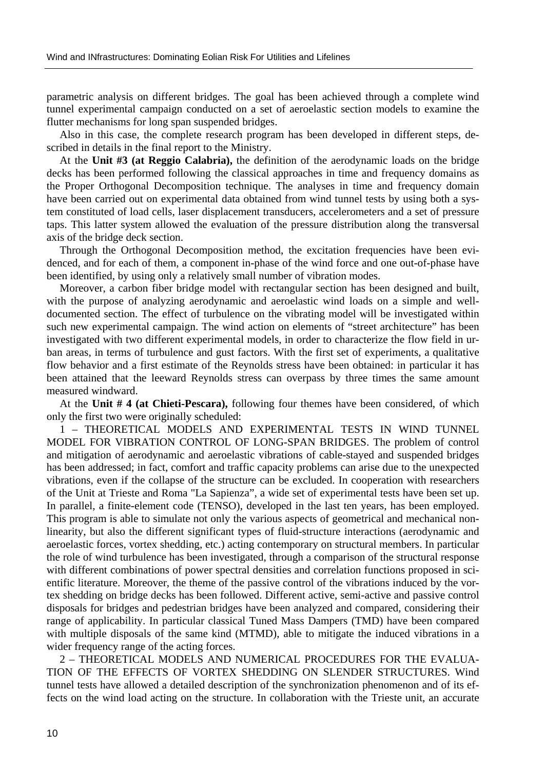parametric analysis on different bridges. The goal has been achieved through a complete wind tunnel experimental campaign conducted on a set of aeroelastic section models to examine the flutter mechanisms for long span suspended bridges.

Also in this case, the complete research program has been developed in different steps, described in details in the final report to the Ministry.

At the **Unit #3 (at Reggio Calabria),** the definition of the aerodynamic loads on the bridge decks has been performed following the classical approaches in time and frequency domains as the Proper Orthogonal Decomposition technique. The analyses in time and frequency domain have been carried out on experimental data obtained from wind tunnel tests by using both a system constituted of load cells, laser displacement transducers, accelerometers and a set of pressure taps. This latter system allowed the evaluation of the pressure distribution along the transversal axis of the bridge deck section.

Through the Orthogonal Decomposition method, the excitation frequencies have been evidenced, and for each of them, a component in-phase of the wind force and one out-of-phase have been identified, by using only a relatively small number of vibration modes.

Moreover, a carbon fiber bridge model with rectangular section has been designed and built, with the purpose of analyzing aerodynamic and aeroelastic wind loads on a simple and welldocumented section. The effect of turbulence on the vibrating model will be investigated within such new experimental campaign. The wind action on elements of "street architecture" has been investigated with two different experimental models, in order to characterize the flow field in urban areas, in terms of turbulence and gust factors. With the first set of experiments, a qualitative flow behavior and a first estimate of the Reynolds stress have been obtained: in particular it has been attained that the leeward Reynolds stress can overpass by three times the same amount measured windward.

At the **Unit # 4 (at Chieti-Pescara),** following four themes have been considered, of which only the first two were originally scheduled:

1 – THEORETICAL MODELS AND EXPERIMENTAL TESTS IN WIND TUNNEL MODEL FOR VIBRATION CONTROL OF LONG-SPAN BRIDGES. The problem of control and mitigation of aerodynamic and aeroelastic vibrations of cable-stayed and suspended bridges has been addressed; in fact, comfort and traffic capacity problems can arise due to the unexpected vibrations, even if the collapse of the structure can be excluded. In cooperation with researchers of the Unit at Trieste and Roma "La Sapienza", a wide set of experimental tests have been set up. In parallel, a finite-element code (TENSO), developed in the last ten years, has been employed. This program is able to simulate not only the various aspects of geometrical and mechanical nonlinearity, but also the different significant types of fluid-structure interactions (aerodynamic and aeroelastic forces, vortex shedding, etc.) acting contemporary on structural members. In particular the role of wind turbulence has been investigated, through a comparison of the structural response with different combinations of power spectral densities and correlation functions proposed in scientific literature. Moreover, the theme of the passive control of the vibrations induced by the vortex shedding on bridge decks has been followed. Different active, semi-active and passive control disposals for bridges and pedestrian bridges have been analyzed and compared, considering their range of applicability. In particular classical Tuned Mass Dampers (TMD) have been compared with multiple disposals of the same kind (MTMD), able to mitigate the induced vibrations in a wider frequency range of the acting forces.

2 – THEORETICAL MODELS AND NUMERICAL PROCEDURES FOR THE EVALUA-TION OF THE EFFECTS OF VORTEX SHEDDING ON SLENDER STRUCTURES. Wind tunnel tests have allowed a detailed description of the synchronization phenomenon and of its effects on the wind load acting on the structure. In collaboration with the Trieste unit, an accurate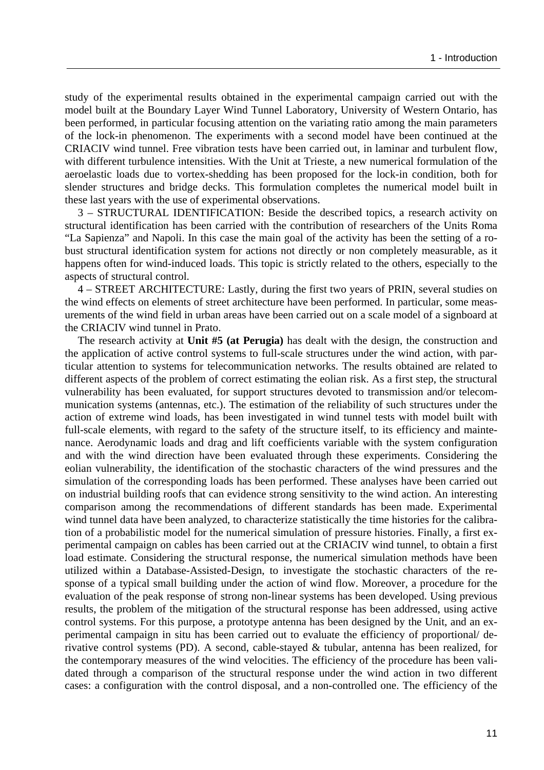study of the experimental results obtained in the experimental campaign carried out with the model built at the Boundary Layer Wind Tunnel Laboratory, University of Western Ontario, has been performed, in particular focusing attention on the variating ratio among the main parameters of the lock-in phenomenon. The experiments with a second model have been continued at the CRIACIV wind tunnel. Free vibration tests have been carried out, in laminar and turbulent flow, with different turbulence intensities. With the Unit at Trieste, a new numerical formulation of the aeroelastic loads due to vortex-shedding has been proposed for the lock-in condition, both for slender structures and bridge decks. This formulation completes the numerical model built in these last years with the use of experimental observations.

3 – STRUCTURAL IDENTIFICATION: Beside the described topics, a research activity on structural identification has been carried with the contribution of researchers of the Units Roma "La Sapienza" and Napoli. In this case the main goal of the activity has been the setting of a robust structural identification system for actions not directly or non completely measurable, as it happens often for wind-induced loads. This topic is strictly related to the others, especially to the aspects of structural control.

4 – STREET ARCHITECTURE: Lastly, during the first two years of PRIN, several studies on the wind effects on elements of street architecture have been performed. In particular, some measurements of the wind field in urban areas have been carried out on a scale model of a signboard at the CRIACIV wind tunnel in Prato.

The research activity at **Unit #5 (at Perugia)** has dealt with the design, the construction and the application of active control systems to full-scale structures under the wind action, with particular attention to systems for telecommunication networks. The results obtained are related to different aspects of the problem of correct estimating the eolian risk. As a first step, the structural vulnerability has been evaluated, for support structures devoted to transmission and/or telecommunication systems (antennas, etc.). The estimation of the reliability of such structures under the action of extreme wind loads, has been investigated in wind tunnel tests with model built with full-scale elements, with regard to the safety of the structure itself, to its efficiency and maintenance. Aerodynamic loads and drag and lift coefficients variable with the system configuration and with the wind direction have been evaluated through these experiments. Considering the eolian vulnerability, the identification of the stochastic characters of the wind pressures and the simulation of the corresponding loads has been performed. These analyses have been carried out on industrial building roofs that can evidence strong sensitivity to the wind action. An interesting comparison among the recommendations of different standards has been made. Experimental wind tunnel data have been analyzed, to characterize statistically the time histories for the calibration of a probabilistic model for the numerical simulation of pressure histories. Finally, a first experimental campaign on cables has been carried out at the CRIACIV wind tunnel, to obtain a first load estimate. Considering the structural response, the numerical simulation methods have been utilized within a Database-Assisted-Design, to investigate the stochastic characters of the response of a typical small building under the action of wind flow. Moreover, a procedure for the evaluation of the peak response of strong non-linear systems has been developed. Using previous results, the problem of the mitigation of the structural response has been addressed, using active control systems. For this purpose, a prototype antenna has been designed by the Unit, and an experimental campaign in situ has been carried out to evaluate the efficiency of proportional/ derivative control systems (PD). A second, cable-stayed & tubular, antenna has been realized, for the contemporary measures of the wind velocities. The efficiency of the procedure has been validated through a comparison of the structural response under the wind action in two different cases: a configuration with the control disposal, and a non-controlled one. The efficiency of the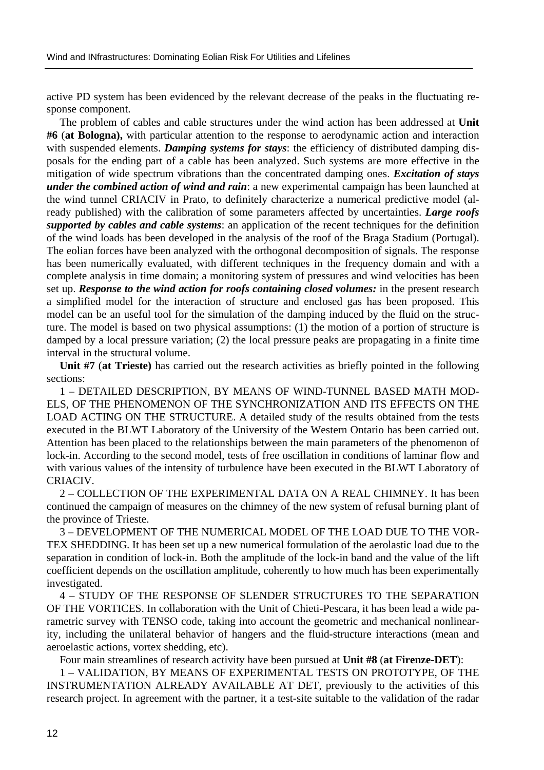active PD system has been evidenced by the relevant decrease of the peaks in the fluctuating response component.

The problem of cables and cable structures under the wind action has been addressed at **Unit #6** (**at Bologna),** with particular attention to the response to aerodynamic action and interaction with suspended elements. *Damping systems for stays*: the efficiency of distributed damping disposals for the ending part of a cable has been analyzed. Such systems are more effective in the mitigation of wide spectrum vibrations than the concentrated damping ones. *Excitation of stays under the combined action of wind and rain*: a new experimental campaign has been launched at the wind tunnel CRIACIV in Prato, to definitely characterize a numerical predictive model (already published) with the calibration of some parameters affected by uncertainties. *Large roofs supported by cables and cable systems*: an application of the recent techniques for the definition of the wind loads has been developed in the analysis of the roof of the Braga Stadium (Portugal). The eolian forces have been analyzed with the orthogonal decomposition of signals. The response has been numerically evaluated, with different techniques in the frequency domain and with a complete analysis in time domain; a monitoring system of pressures and wind velocities has been set up. *Response to the wind action for roofs containing closed volumes:* in the present research a simplified model for the interaction of structure and enclosed gas has been proposed. This model can be an useful tool for the simulation of the damping induced by the fluid on the structure. The model is based on two physical assumptions: (1) the motion of a portion of structure is damped by a local pressure variation; (2) the local pressure peaks are propagating in a finite time interval in the structural volume.

**Unit #7** (**at Trieste)** has carried out the research activities as briefly pointed in the following sections:

1 – DETAILED DESCRIPTION, BY MEANS OF WIND-TUNNEL BASED MATH MOD-ELS, OF THE PHENOMENON OF THE SYNCHRONIZATION AND ITS EFFECTS ON THE LOAD ACTING ON THE STRUCTURE. A detailed study of the results obtained from the tests executed in the BLWT Laboratory of the University of the Western Ontario has been carried out. Attention has been placed to the relationships between the main parameters of the phenomenon of lock-in. According to the second model, tests of free oscillation in conditions of laminar flow and with various values of the intensity of turbulence have been executed in the BLWT Laboratory of CRIACIV.

2 – COLLECTION OF THE EXPERIMENTAL DATA ON A REAL CHIMNEY. It has been continued the campaign of measures on the chimney of the new system of refusal burning plant of the province of Trieste.

3 – DEVELOPMENT OF THE NUMERICAL MODEL OF THE LOAD DUE TO THE VOR-TEX SHEDDING. It has been set up a new numerical formulation of the aerolastic load due to the separation in condition of lock-in. Both the amplitude of the lock-in band and the value of the lift coefficient depends on the oscillation amplitude, coherently to how much has been experimentally investigated.

4 – STUDY OF THE RESPONSE OF SLENDER STRUCTURES TO THE SEPARATION OF THE VORTICES. In collaboration with the Unit of Chieti-Pescara, it has been lead a wide parametric survey with TENSO code, taking into account the geometric and mechanical nonlinearity, including the unilateral behavior of hangers and the fluid-structure interactions (mean and aeroelastic actions, vortex shedding, etc).

Four main streamlines of research activity have been pursued at **Unit #8** (**at Firenze-DET**):

1 – VALIDATION, BY MEANS OF EXPERIMENTAL TESTS ON PROTOTYPE, OF THE INSTRUMENTATION ALREADY AVAILABLE AT DET, previously to the activities of this research project. In agreement with the partner, it a test-site suitable to the validation of the radar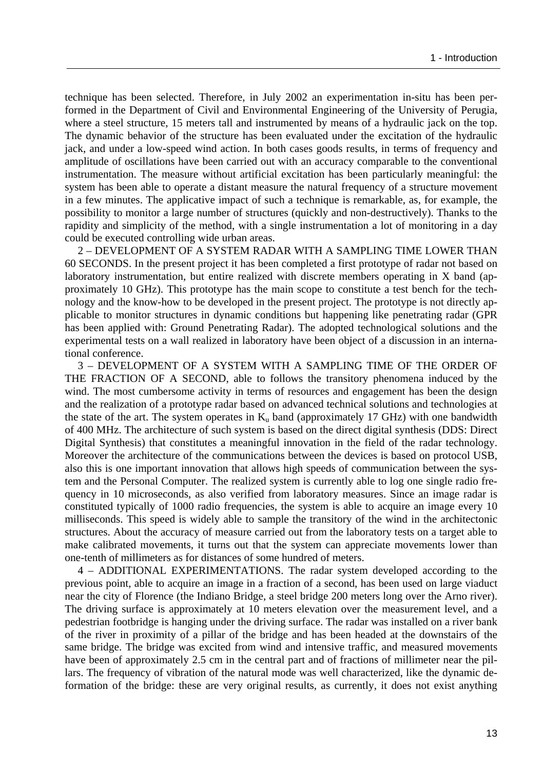technique has been selected. Therefore, in July 2002 an experimentation in-situ has been performed in the Department of Civil and Environmental Engineering of the University of Perugia, where a steel structure, 15 meters tall and instrumented by means of a hydraulic jack on the top. The dynamic behavior of the structure has been evaluated under the excitation of the hydraulic jack, and under a low-speed wind action. In both cases goods results, in terms of frequency and amplitude of oscillations have been carried out with an accuracy comparable to the conventional instrumentation. The measure without artificial excitation has been particularly meaningful: the system has been able to operate a distant measure the natural frequency of a structure movement in a few minutes. The applicative impact of such a technique is remarkable, as, for example, the possibility to monitor a large number of structures (quickly and non-destructively). Thanks to the rapidity and simplicity of the method, with a single instrumentation a lot of monitoring in a day could be executed controlling wide urban areas.

2 – DEVELOPMENT OF A SYSTEM RADAR WITH A SAMPLING TIME LOWER THAN 60 SECONDS. In the present project it has been completed a first prototype of radar not based on laboratory instrumentation, but entire realized with discrete members operating in X band (approximately 10 GHz). This prototype has the main scope to constitute a test bench for the technology and the know-how to be developed in the present project. The prototype is not directly applicable to monitor structures in dynamic conditions but happening like penetrating radar (GPR has been applied with: Ground Penetrating Radar). The adopted technological solutions and the experimental tests on a wall realized in laboratory have been object of a discussion in an international conference.

3 – DEVELOPMENT OF A SYSTEM WITH A SAMPLING TIME OF THE ORDER OF THE FRACTION OF A SECOND, able to follows the transitory phenomena induced by the wind. The most cumbersome activity in terms of resources and engagement has been the design and the realization of a prototype radar based on advanced technical solutions and technologies at the state of the art. The system operates in  $K_u$  band (approximately 17 GHz) with one bandwidth of 400 MHz. The architecture of such system is based on the direct digital synthesis (DDS: Direct Digital Synthesis) that constitutes a meaningful innovation in the field of the radar technology. Moreover the architecture of the communications between the devices is based on protocol USB, also this is one important innovation that allows high speeds of communication between the system and the Personal Computer. The realized system is currently able to log one single radio frequency in 10 microseconds, as also verified from laboratory measures. Since an image radar is constituted typically of 1000 radio frequencies, the system is able to acquire an image every 10 milliseconds. This speed is widely able to sample the transitory of the wind in the architectonic structures. About the accuracy of measure carried out from the laboratory tests on a target able to make calibrated movements, it turns out that the system can appreciate movements lower than one-tenth of millimeters as for distances of some hundred of meters.

4 – ADDITIONAL EXPERIMENTATIONS. The radar system developed according to the previous point, able to acquire an image in a fraction of a second, has been used on large viaduct near the city of Florence (the Indiano Bridge, a steel bridge 200 meters long over the Arno river). The driving surface is approximately at 10 meters elevation over the measurement level, and a pedestrian footbridge is hanging under the driving surface. The radar was installed on a river bank of the river in proximity of a pillar of the bridge and has been headed at the downstairs of the same bridge. The bridge was excited from wind and intensive traffic, and measured movements have been of approximately 2.5 cm in the central part and of fractions of millimeter near the pillars. The frequency of vibration of the natural mode was well characterized, like the dynamic deformation of the bridge: these are very original results, as currently, it does not exist anything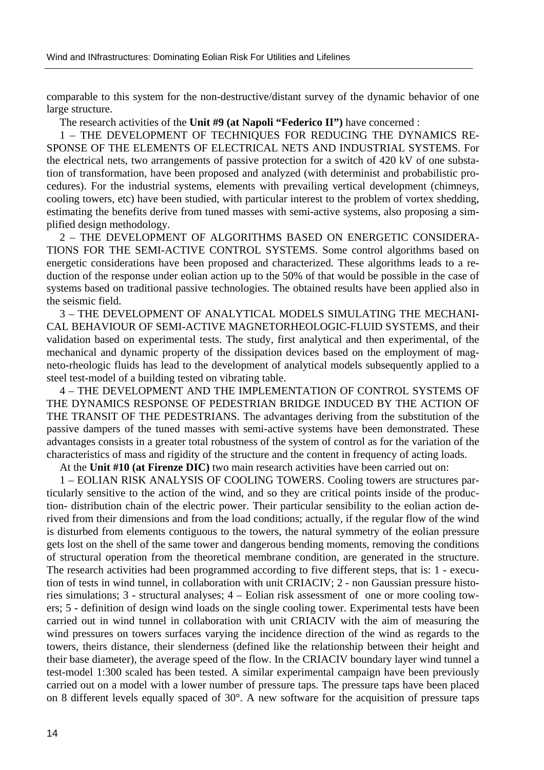comparable to this system for the non-destructive/distant survey of the dynamic behavior of one large structure.

The research activities of the **Unit #9 (at Napoli "Federico II")** have concerned :

1 – THE DEVELOPMENT OF TECHNIQUES FOR REDUCING THE DYNAMICS RE-SPONSE OF THE ELEMENTS OF ELECTRICAL NETS AND INDUSTRIAL SYSTEMS. For the electrical nets, two arrangements of passive protection for a switch of 420 kV of one substation of transformation, have been proposed and analyzed (with determinist and probabilistic procedures). For the industrial systems, elements with prevailing vertical development (chimneys, cooling towers, etc) have been studied, with particular interest to the problem of vortex shedding, estimating the benefits derive from tuned masses with semi-active systems, also proposing a simplified design methodology.

2 – THE DEVELOPMENT OF ALGORITHMS BASED ON ENERGETIC CONSIDERA-TIONS FOR THE SEMI-ACTIVE CONTROL SYSTEMS. Some control algorithms based on energetic considerations have been proposed and characterized. These algorithms leads to a reduction of the response under eolian action up to the 50% of that would be possible in the case of systems based on traditional passive technologies. The obtained results have been applied also in the seismic field.

3 – THE DEVELOPMENT OF ANALYTICAL MODELS SIMULATING THE MECHANI-CAL BEHAVIOUR OF SEMI-ACTIVE MAGNETORHEOLOGIC-FLUID SYSTEMS, and their validation based on experimental tests. The study, first analytical and then experimental, of the mechanical and dynamic property of the dissipation devices based on the employment of magneto-rheologic fluids has lead to the development of analytical models subsequently applied to a steel test-model of a building tested on vibrating table.

4 – THE DEVELOPMENT AND THE IMPLEMENTATION OF CONTROL SYSTEMS OF THE DYNAMICS RESPONSE OF PEDESTRIAN BRIDGE INDUCED BY THE ACTION OF THE TRANSIT OF THE PEDESTRIANS. The advantages deriving from the substitution of the passive dampers of the tuned masses with semi-active systems have been demonstrated. These advantages consists in a greater total robustness of the system of control as for the variation of the characteristics of mass and rigidity of the structure and the content in frequency of acting loads.

At the **Unit #10 (at Firenze DIC)** two main research activities have been carried out on:

1 – EOLIAN RISK ANALYSIS OF COOLING TOWERS. Cooling towers are structures particularly sensitive to the action of the wind, and so they are critical points inside of the production- distribution chain of the electric power. Their particular sensibility to the eolian action derived from their dimensions and from the load conditions; actually, if the regular flow of the wind is disturbed from elements contiguous to the towers, the natural symmetry of the eolian pressure gets lost on the shell of the same tower and dangerous bending moments, removing the conditions of structural operation from the theoretical membrane condition, are generated in the structure. The research activities had been programmed according to five different steps, that is: 1 - execution of tests in wind tunnel, in collaboration with unit CRIACIV; 2 - non Gaussian pressure histories simulations; 3 - structural analyses; 4 – Eolian risk assessment of one or more cooling towers; 5 - definition of design wind loads on the single cooling tower. Experimental tests have been carried out in wind tunnel in collaboration with unit CRIACIV with the aim of measuring the wind pressures on towers surfaces varying the incidence direction of the wind as regards to the towers, theirs distance, their slenderness (defined like the relationship between their height and their base diameter), the average speed of the flow. In the CRIACIV boundary layer wind tunnel a test-model 1:300 scaled has been tested. A similar experimental campaign have been previously carried out on a model with a lower number of pressure taps. The pressure taps have been placed on 8 different levels equally spaced of 30°. A new software for the acquisition of pressure taps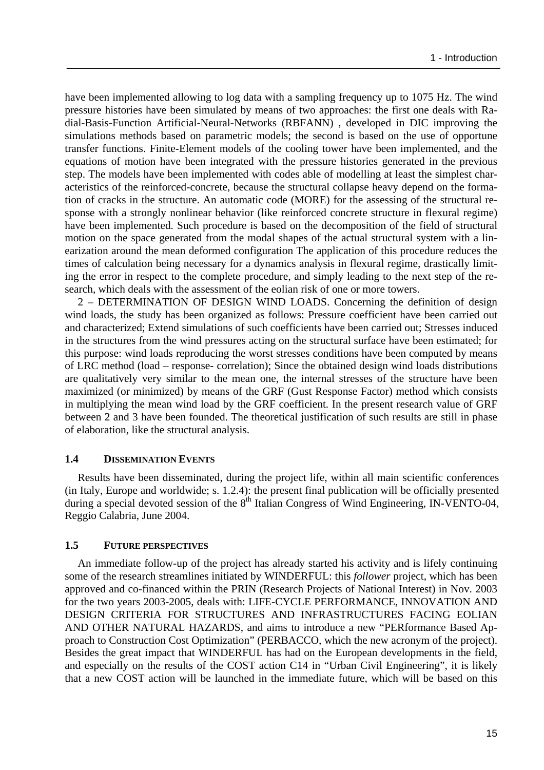have been implemented allowing to log data with a sampling frequency up to 1075 Hz. The wind pressure histories have been simulated by means of two approaches: the first one deals with Radial-Basis-Function Artificial-Neural-Networks (RBFANN) , developed in DIC improving the simulations methods based on parametric models; the second is based on the use of opportune transfer functions. Finite-Element models of the cooling tower have been implemented, and the equations of motion have been integrated with the pressure histories generated in the previous step. The models have been implemented with codes able of modelling at least the simplest characteristics of the reinforced-concrete, because the structural collapse heavy depend on the formation of cracks in the structure. An automatic code (MORE) for the assessing of the structural response with a strongly nonlinear behavior (like reinforced concrete structure in flexural regime) have been implemented. Such procedure is based on the decomposition of the field of structural motion on the space generated from the modal shapes of the actual structural system with a linearization around the mean deformed configuration The application of this procedure reduces the times of calculation being necessary for a dynamics analysis in flexural regime, drastically limiting the error in respect to the complete procedure, and simply leading to the next step of the research, which deals with the assessment of the eolian risk of one or more towers.

2 – DETERMINATION OF DESIGN WIND LOADS. Concerning the definition of design wind loads, the study has been organized as follows: Pressure coefficient have been carried out and characterized; Extend simulations of such coefficients have been carried out; Stresses induced in the structures from the wind pressures acting on the structural surface have been estimated; for this purpose: wind loads reproducing the worst stresses conditions have been computed by means of LRC method (load – response- correlation); Since the obtained design wind loads distributions are qualitatively very similar to the mean one, the internal stresses of the structure have been maximized (or minimized) by means of the GRF (Gust Response Factor) method which consists in multiplying the mean wind load by the GRF coefficient. In the present research value of GRF between 2 and 3 have been founded. The theoretical justification of such results are still in phase of elaboration, like the structural analysis.

### **1.4 DISSEMINATION EVENTS**

Results have been disseminated, during the project life, within all main scientific conferences (in Italy, Europe and worldwide; s. 1.2.4): the present final publication will be officially presented during a special devoted session of the  $8<sup>th</sup>$  Italian Congress of Wind Engineering, IN-VENTO-04, Reggio Calabria, June 2004.

## **1.5 FUTURE PERSPECTIVES**

An immediate follow-up of the project has already started his activity and is lifely continuing some of the research streamlines initiated by WINDERFUL: this *follower* project, which has been approved and co-financed within the PRIN (Research Projects of National Interest) in Nov. 2003 for the two years 2003-2005, deals with: LIFE-CYCLE PERFORMANCE, INNOVATION AND DESIGN CRITERIA FOR STRUCTURES AND INFRASTRUCTURES FACING EOLIAN AND OTHER NATURAL HAZARDS, and aims to introduce a new "PERformance Based Approach to Construction Cost Optimization" (PERBACCO, which the new acronym of the project). Besides the great impact that WINDERFUL has had on the European developments in the field, and especially on the results of the COST action C14 in "Urban Civil Engineering", it is likely that a new COST action will be launched in the immediate future, which will be based on this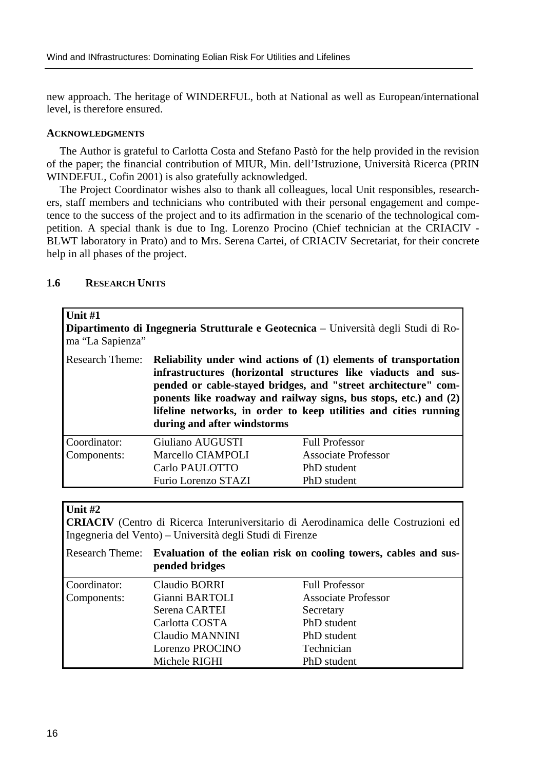new approach. The heritage of WINDERFUL, both at National as well as European/international level, is therefore ensured.

#### **ACKNOWLEDGMENTS**

The Author is grateful to Carlotta Costa and Stefano Pastò for the help provided in the revision of the paper; the financial contribution of MIUR, Min. dell'Istruzione, Università Ricerca (PRIN WINDEFUL, Cofin 2001) is also gratefully acknowledged.

The Project Coordinator wishes also to thank all colleagues, local Unit responsibles, researchers, staff members and technicians who contributed with their personal engagement and competence to the success of the project and to its adfirmation in the scenario of the technological competition. A special thank is due to Ing. Lorenzo Procino (Chief technician at the CRIACIV - BLWT laboratory in Prato) and to Mrs. Serena Cartei, of CRIACIV Secretariat, for their concrete help in all phases of the project.

## **1.6 RESEARCH UNITS**

| <b>Unit #1</b><br>ma "La Sapienza" |                                                                                                                                                                                                                                                                                                                                                                            | <b>Dipartimento di Ingegneria Strutturale e Geotecnica</b> – Università degli Studi di Ro- |
|------------------------------------|----------------------------------------------------------------------------------------------------------------------------------------------------------------------------------------------------------------------------------------------------------------------------------------------------------------------------------------------------------------------------|--------------------------------------------------------------------------------------------|
| <b>Research Theme:</b>             | Reliability under wind actions of (1) elements of transportation<br>infrastructures (horizontal structures like viaducts and sus-<br>pended or cable-stayed bridges, and "street architecture" com-<br>ponents like roadway and railway signs, bus stops, etc.) and (2)<br>lifeline networks, in order to keep utilities and cities running<br>during and after windstorms |                                                                                            |
| Coordinator:                       | Giuliano AUGUSTI                                                                                                                                                                                                                                                                                                                                                           | <b>Full Professor</b>                                                                      |
| Components:                        | Marcello CIAMPOLI                                                                                                                                                                                                                                                                                                                                                          | <b>Associate Professor</b>                                                                 |
|                                    | Carlo PAULOTTO                                                                                                                                                                                                                                                                                                                                                             | PhD student                                                                                |
|                                    | Furio Lorenzo STAZI                                                                                                                                                                                                                                                                                                                                                        | PhD student                                                                                |

# **Unit #2**

**CRIACIV** (Centro di Ricerca Interuniversitario di Aerodinamica delle Costruzioni ed Ingegneria del Vento) – Università degli Studi di Firenze

|              | Research Theme: Evaluation of the eolian risk on cooling towers, cables and sus-<br>pended bridges |                            |
|--------------|----------------------------------------------------------------------------------------------------|----------------------------|
| Coordinator: | Claudio BORRI                                                                                      | <b>Full Professor</b>      |
| Components:  | Gianni BARTOLI                                                                                     | <b>Associate Professor</b> |
|              | Serena CARTEI                                                                                      | Secretary                  |
|              | Carlotta COSTA                                                                                     | PhD student                |
|              | Claudio MANNINI                                                                                    | PhD student                |
|              | Lorenzo PROCINO                                                                                    | Technician                 |
|              | Michele RIGHI                                                                                      | PhD student                |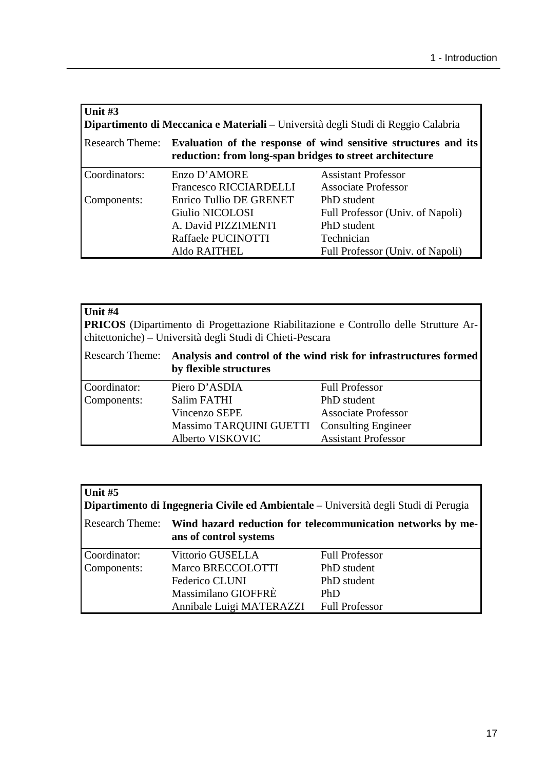| Unit $#3$<br>Dipartimento di Meccanica e Materiali - Università degli Studi di Reggio Calabria |                                                                                                                             |                                  |  |
|------------------------------------------------------------------------------------------------|-----------------------------------------------------------------------------------------------------------------------------|----------------------------------|--|
| <b>Research Theme:</b>                                                                         | Evaluation of the response of wind sensitive structures and its<br>reduction: from long-span bridges to street architecture |                                  |  |
| Coordinators:                                                                                  | Enzo D'AMORE                                                                                                                | <b>Assistant Professor</b>       |  |
|                                                                                                | <b>Francesco RICCIARDELLI</b>                                                                                               | <b>Associate Professor</b>       |  |
| Components:                                                                                    | Enrico Tullio DE GRENET                                                                                                     | PhD student                      |  |
|                                                                                                | Giulio NICOLOSI                                                                                                             | Full Professor (Univ. of Napoli) |  |
|                                                                                                | A. David PIZZIMENTI                                                                                                         | PhD student                      |  |
|                                                                                                | Raffaele PUCINOTTI                                                                                                          | Technician                       |  |
|                                                                                                | Aldo RAITHEL                                                                                                                | Full Professor (Univ. of Napoli) |  |

| Unit #4<br><b>PRICOS</b> (Dipartimento di Progettazione Riabilitazione e Controllo delle Strutture Ar-<br>chitettoniche) – Università degli Studi di Chieti-Pescara |                                                                                            |                            |  |
|---------------------------------------------------------------------------------------------------------------------------------------------------------------------|--------------------------------------------------------------------------------------------|----------------------------|--|
| <b>Research Theme:</b>                                                                                                                                              | Analysis and control of the wind risk for infrastructures formed<br>by flexible structures |                            |  |
| Coordinator:                                                                                                                                                        | Piero D'ASDIA                                                                              | <b>Full Professor</b>      |  |
| Components:                                                                                                                                                         | Salim FATHI                                                                                | PhD student                |  |
|                                                                                                                                                                     | Vincenzo SEPE                                                                              | <b>Associate Professor</b> |  |
|                                                                                                                                                                     | Massimo TARQUINI GUETTI                                                                    | <b>Consulting Engineer</b> |  |
|                                                                                                                                                                     | Alberto VISKOVIC                                                                           | <b>Assistant Professor</b> |  |

| Unit $#5$<br>Dipartimento di Ingegneria Civile ed Ambientale – Università degli Studi di Perugia |                                                                                                       |                       |  |
|--------------------------------------------------------------------------------------------------|-------------------------------------------------------------------------------------------------------|-----------------------|--|
|                                                                                                  | Research Theme: Wind hazard reduction for telecommunication networks by me-<br>ans of control systems |                       |  |
| Coordinator:                                                                                     | Vittorio GUSELLA                                                                                      | <b>Full Professor</b> |  |
| Components:                                                                                      | Marco BRECCOLOTTI                                                                                     | PhD student           |  |
|                                                                                                  | Federico CLUNI                                                                                        | PhD student           |  |
|                                                                                                  | Massimilano GIOFFRÈ                                                                                   | PhD                   |  |
|                                                                                                  | Annibale Luigi MATERAZZI                                                                              | <b>Full Professor</b> |  |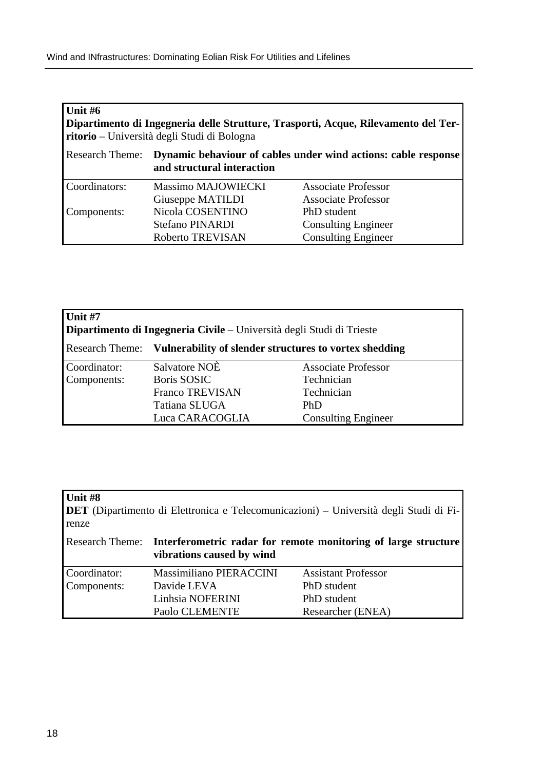| Unit $#6$<br>Dipartimento di Ingegneria delle Strutture, Trasporti, Acque, Rilevamento del Ter-<br>ritorio – Università degli Studi di Bologna |                            |                                                                |
|------------------------------------------------------------------------------------------------------------------------------------------------|----------------------------|----------------------------------------------------------------|
| <b>Research Theme:</b>                                                                                                                         | and structural interaction | Dynamic behaviour of cables under wind actions: cable response |
| Coordinators:                                                                                                                                  | <b>Massimo MAJOWIECKI</b>  | <b>Associate Professor</b>                                     |
|                                                                                                                                                | Giuseppe MATILDI           | <b>Associate Professor</b>                                     |
| Components:                                                                                                                                    | Nicola COSENTINO           | PhD student                                                    |
|                                                                                                                                                | Stefano PINARDI            | <b>Consulting Engineer</b>                                     |
|                                                                                                                                                | Roberto TREVISAN           | <b>Consulting Engineer</b>                                     |

| <b>Unit #7</b><br><b>Dipartimento di Ingegneria Civile</b> – Università degli Studi di Trieste |                                                                               |                            |  |
|------------------------------------------------------------------------------------------------|-------------------------------------------------------------------------------|----------------------------|--|
|                                                                                                | <b>Research Theme:</b> Vulnerability of slender structures to vortex shedding |                            |  |
| Coordinator:                                                                                   | Salvatore NOE                                                                 | <b>Associate Professor</b> |  |
| Components:                                                                                    | <b>Boris SOSIC</b>                                                            | Technician                 |  |
|                                                                                                | <b>Franco TREVISAN</b>                                                        | Technician                 |  |
|                                                                                                | Tatiana SLUGA                                                                 | PhD                        |  |
|                                                                                                | Luca CARACOGLIA                                                               | <b>Consulting Engineer</b> |  |

| Unit #8<br>renze |                           | <b>DET</b> (Dipartimento di Elettronica e Telecomunicazioni) – Università degli Studi di Fi- |
|------------------|---------------------------|----------------------------------------------------------------------------------------------|
|                  | vibrations caused by wind | Research Theme: Interferometric radar for remote monitoring of large structure               |
| Coordinator:     | Massimiliano PIERACCINI   | <b>Assistant Professor</b>                                                                   |
| Components:      | Davide LEVA               | PhD student                                                                                  |
|                  | Linhsia NOFERINI          | PhD student                                                                                  |
|                  | Paolo CLEMENTE            | Researcher (ENEA)                                                                            |